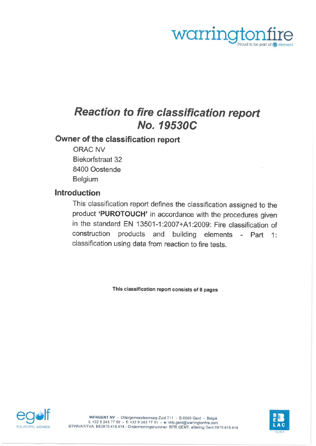

# Reaction to fire classification report Wo. 19530C

# Owner of the classification report

ORAC NV Biekorfstraat 32 8400 Oostende Belgium

# Introduction

This classification report defines the classification assigned to the product 'PUROTOUCH' in accordance with the procedures given in the standard EN 13501-1:2007+A1:2009: Fire classification of construction products and building elements - Part 1: classification using data from reaction to fire tests.

This classification report consists of 8 pages



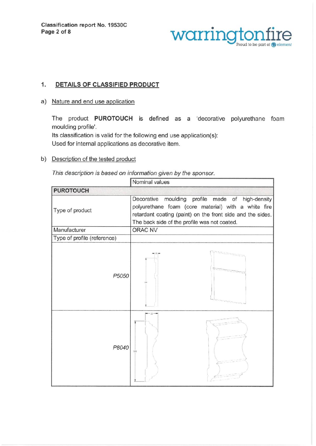

# 1. DETAILS OF CLASSIFIED PRODUCT

a) Nature and end use application

The product PUROTOUCH is defined as a 'decorative polyurethane foam moulding profile'.

lts classification is valid for the following end use application(s): Used for internal applications as decorative item.

b) Description of the tested product

This description is based on information given by the sponsor.

|                             | Nominal values                                                                                                                                                                                                           |  |  |
|-----------------------------|--------------------------------------------------------------------------------------------------------------------------------------------------------------------------------------------------------------------------|--|--|
| <b>PUROTOUCH</b>            |                                                                                                                                                                                                                          |  |  |
| Type of product             | moulding profile made of high-density<br>Decorative<br>polyurethane foam (core material) with a white fire<br>retardant coating (paint) on the front side and the sides.<br>The back side of the profile was not coated. |  |  |
| Manufacturer                | ORAC NV                                                                                                                                                                                                                  |  |  |
| Type of profile (reference) |                                                                                                                                                                                                                          |  |  |
| P5050                       |                                                                                                                                                                                                                          |  |  |
| P8040                       | $-22 -$<br>101                                                                                                                                                                                                           |  |  |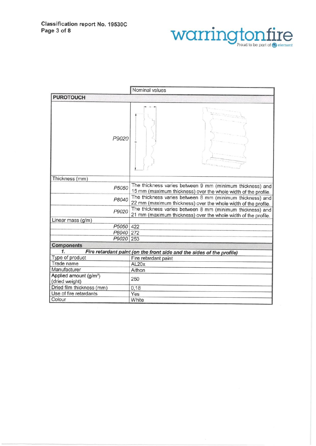

|                                                      | Nominal values                                                                                                              |  |  |
|------------------------------------------------------|-----------------------------------------------------------------------------------------------------------------------------|--|--|
| <b>PUROTOUCH</b>                                     |                                                                                                                             |  |  |
| P9020                                                |                                                                                                                             |  |  |
| Thickness (mm)                                       |                                                                                                                             |  |  |
| P5050                                                | The thickness varies between 9 mm (minimum thickness) and<br>15 mm (maximum thickness) over the whole width of the profile. |  |  |
| P8040                                                | The thickness varies between 8 mm (minimum thickness) and<br>22 mm (maximum thickness) over the whole width of the profile. |  |  |
| P9020                                                | The thickness varies between 8 mm (minimum thickness) and<br>21 mm (maximum thickness) over the whole width of the profile. |  |  |
| Linear mass (g/m)                                    |                                                                                                                             |  |  |
| P5050 422                                            |                                                                                                                             |  |  |
| P8040 272                                            |                                                                                                                             |  |  |
| P9020 253                                            |                                                                                                                             |  |  |
| <b>Components</b>                                    |                                                                                                                             |  |  |
| 1.                                                   | Fire retardant paint (on the front side and the sides of the profile)                                                       |  |  |
| Type of product                                      | Fire retardant paint                                                                                                        |  |  |
| Trade name                                           | AL20x                                                                                                                       |  |  |
| Manufacturer                                         | Aithon                                                                                                                      |  |  |
| Applied amount (g/m <sup>2</sup> )<br>(dried weight) | 250                                                                                                                         |  |  |
| Dried film thickness (mm)                            | 0,18                                                                                                                        |  |  |
| Use of fire retardants                               | Yes                                                                                                                         |  |  |
| Colour                                               | White                                                                                                                       |  |  |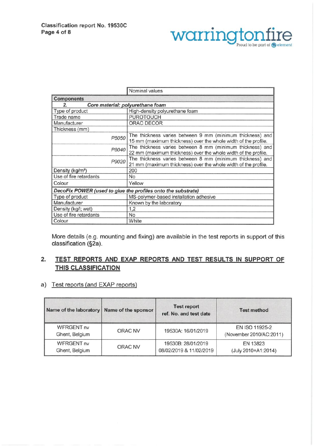

|                                                              | Nominal values                                                                                                              |  |  |  |  |
|--------------------------------------------------------------|-----------------------------------------------------------------------------------------------------------------------------|--|--|--|--|
| <b>Components</b>                                            |                                                                                                                             |  |  |  |  |
|                                                              | Core material: polyurethane foam                                                                                            |  |  |  |  |
| Type of product                                              | High-density polyurethane foam                                                                                              |  |  |  |  |
| Trade name                                                   | <b>PUROTOUCH</b>                                                                                                            |  |  |  |  |
| Manufacturer                                                 | ORAC DECOR                                                                                                                  |  |  |  |  |
| Thickness (mm)                                               |                                                                                                                             |  |  |  |  |
| P5050                                                        | The thickness varies between 9 mm (minimum thickness) and<br>15 mm (maximum thickness) over the whole width of the profile. |  |  |  |  |
| P8040                                                        | The thickness varies between 8 mm (minimum thickness) and<br>22 mm (maximum thickness) over the whole width of the profile. |  |  |  |  |
| P9020                                                        | The thickness varies between 8 mm (minimum thickness) and<br>21 mm (maximum thickness) over the whole width of the profile. |  |  |  |  |
| Density (kg/m <sup>3</sup> )                                 | 200                                                                                                                         |  |  |  |  |
| Use of fire retardants                                       | No                                                                                                                          |  |  |  |  |
| Colour                                                       | Yellow                                                                                                                      |  |  |  |  |
| DecoFix POWER (used to glue the profiles onto the substrate) |                                                                                                                             |  |  |  |  |
| Type of product                                              | MS-polymer-based installation adhesive                                                                                      |  |  |  |  |
| Manufacturer                                                 | Known by the laboratory                                                                                                     |  |  |  |  |
| Density (kg/l; wet)                                          | 1,2                                                                                                                         |  |  |  |  |
| Use of fire retardants                                       | <b>No</b>                                                                                                                   |  |  |  |  |
| Colour                                                       | White                                                                                                                       |  |  |  |  |

More details (e.g. mounting and fixing) are available in the test reports in support of this classification (§2a).

## 2. TEST REPORTS AND EXAP REPORTS AND TEST RESULTS IN SUPPORT OF THIS CLASSIFICATION

#### a) Test reports (and EXAP reports)

| Name of the laboratory              | Name of the sponsor | <b>Test report</b><br>ref. No. and test date  | <b>Test method</b>                        |
|-------------------------------------|---------------------|-----------------------------------------------|-------------------------------------------|
| <b>WFRGENT nv</b><br>Ghent, Belgium | ORAC NV             | 19530A: 16/01/2019                            | EN ISO 11925-2<br>(November 2010/AC:2011) |
| <b>WFRGENT nv</b><br>Ghent, Belgium | ORAC NV             | 19530B: 28/01/2019<br>08/02/2019 & 11/02/2019 | EN 13823<br>(July 2010+A1:2014)           |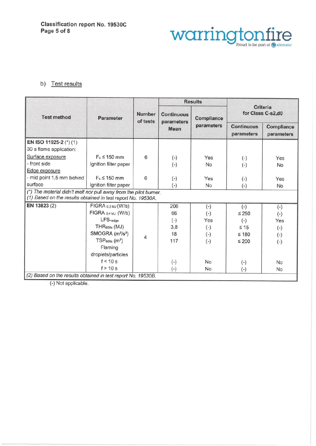

### b) Test results

|                                                                                                                                   | <b>Parameter</b>                                                                                             | <b>Number</b><br>of tests | <b>Results</b>                                 |                          |                                      |                          |
|-----------------------------------------------------------------------------------------------------------------------------------|--------------------------------------------------------------------------------------------------------------|---------------------------|------------------------------------------------|--------------------------|--------------------------------------|--------------------------|
| <b>Test method</b>                                                                                                                |                                                                                                              |                           | <b>Continuous</b><br>parameters<br><b>Mean</b> | Compliance<br>parameters | <b>Criteria</b><br>for Class C-s2,d0 |                          |
|                                                                                                                                   |                                                                                                              |                           |                                                |                          | <b>Continuous</b><br>parameters      | Compliance<br>parameters |
| EN ISO 11925-2 (*) (1)                                                                                                            |                                                                                                              |                           |                                                |                          |                                      |                          |
| 30 s flame application:                                                                                                           |                                                                                                              |                           |                                                |                          |                                      |                          |
| Surface exposure                                                                                                                  | $F_s \leq 150$ mm                                                                                            | 6                         | $(-)$                                          | Yes                      | $(-)$                                | Yes                      |
| - front side                                                                                                                      | Ignition filter paper                                                                                        |                           | $(-)$                                          | <b>No</b>                | $(-)$                                | No                       |
| Edge exposure                                                                                                                     |                                                                                                              |                           |                                                |                          |                                      |                          |
| - mid point 1,5 mm behind                                                                                                         | $F_s \leq 150$ mm                                                                                            | 6                         | $(-)$                                          | Yes                      | $(-)$                                | Yes                      |
| surface                                                                                                                           | Ignition filter paper                                                                                        |                           | $(-)$                                          | No                       | $(-)$                                | No                       |
| (*) The material didn't melt nor pull away from the pilot burner.<br>(1) Based on the results obtained in test report No. 19530A. |                                                                                                              |                           |                                                |                          |                                      |                          |
| EN 13823 (2)                                                                                                                      | FIGRA 0,2 MJ (W/S)                                                                                           |                           | 206                                            | $(-)$                    | $(-)$                                | $(-)$                    |
|                                                                                                                                   | FIGRA 0,4 MJ (W/S)                                                                                           |                           | 66                                             | $(-)$                    | $\leq 250$                           | $(-)$                    |
|                                                                                                                                   | LFS <edge< td=""><td></td><td><math>(-)</math></td><td>Yes</td><td><math>(-)</math></td><td>Yes</td></edge<> |                           | $(-)$                                          | Yes                      | $(-)$                                | Yes                      |
|                                                                                                                                   | THR <sub>600s</sub> (MJ)                                                                                     |                           | 3,8                                            | $(-)$                    | $\leq 15$                            | $(-)$                    |
|                                                                                                                                   | SMOGRA (m <sup>2</sup> /s <sup>2</sup> )                                                                     | 4                         | 18                                             | $(-)$                    | $\leq 180$                           | $(-)$                    |
|                                                                                                                                   | $TSP600s$ (m <sup>2</sup> )                                                                                  |                           | 117                                            | $(-)$                    | $\leq 200$                           | $(-)$                    |
|                                                                                                                                   | Flaming                                                                                                      |                           |                                                |                          |                                      |                          |
|                                                                                                                                   | droplets/particles                                                                                           |                           |                                                |                          |                                      |                          |
|                                                                                                                                   | f < 10 s                                                                                                     |                           | $(-)$                                          | <b>No</b>                | $(-)$                                | <b>No</b>                |
|                                                                                                                                   | f > 10 s                                                                                                     |                           | $(-)$                                          | <b>No</b>                | $(-)$                                | <b>No</b>                |
| (2) Based on the results obtained in test report No. 19530B.                                                                      |                                                                                                              |                           |                                                |                          |                                      |                          |

(-) Not applicable.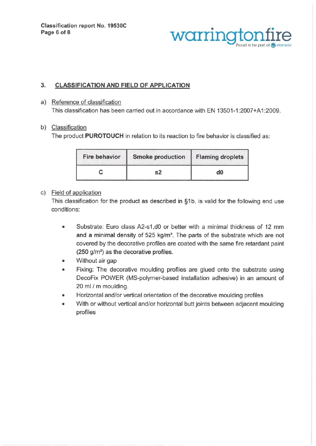

## 3. CLASSIFICATION AND FIELD OF APPLICATION

a) Reference of classification This classification has been carried out in accordance with EN 13501-1:2007+A1:2009.

#### b) Classification

The product PUROTOUCH in relation to its reaction to fire behavior is classified as:

| <b>Fire behavior</b> | <b>Smoke production</b> | <b>Flaming droplets</b> |
|----------------------|-------------------------|-------------------------|
|                      |                         | d0                      |

#### c) Field of application

This classification for the product as described in §1b, is valid for the following end use conditions:

- Substrate: Euro class A2-s1, d0 or better with a minimal thickness of 12 mm  $\bullet$ and a minimal density of 525 kg/m<sup>3</sup>. The parts of the substrate which are not covered by the decorative profiles are coated with the same fire retardant paint (250 g/m2) as the decorative profiles.
- Without air gap  $\bullet$
- Fixing: The decorative moulding profiles are glued onto the substrate using  $\bullet$ DecoFix POWER (MS-polymer-based installation adhesive) in an amount of 20 ml / m moulding.
- Horizontal and/or vertical orientation of the decorative moulding profiles  $\bullet$
- With or without vertical and/or horizontal butt joints between adjacent moulding  $\bullet$ profiles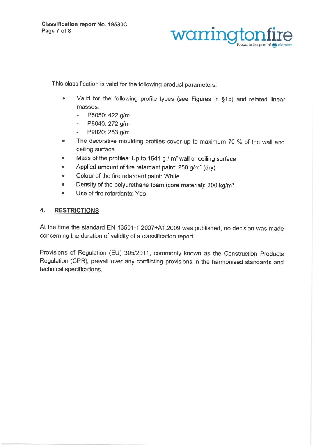Page 7 of 8 warringt

This classification is valid for the following product parameters:

- . Valid for the following profile types (see Figures in §1b) and related linear masses:
	- P5050:422 g/m e.
	- P8040: 272 g/m  $\blacksquare$
	- P9020: 253 g/m  $\blacksquare$
- . The decorative moulding profiles cover up to maximum 70 % of the wall and ceiling surface
- Mass of the profiles: Up to 1641 g / m<sup>2</sup> wall or ceiling surface
- Applied amount of fire retardant paint: 250 g/m<sup>2</sup> (dry)
- . Colour of the fire retardant paint: White
- Density of the polyurethane foam (core material): 200 kg/m<sup>3</sup>
- . Use of fire retardants: Yes

## 4. RESTRICTIONS

At the time the standard EN 13501-1:2007+A1:2009 was published, no decision was made concerning the duration of validity of a classification report.

Provisions of Regulation (EU) 305/2011, commonly known as the Construction Products Regulation (CPR), prevail over any conflicting provisions in the harmonised standards and technical specifications.